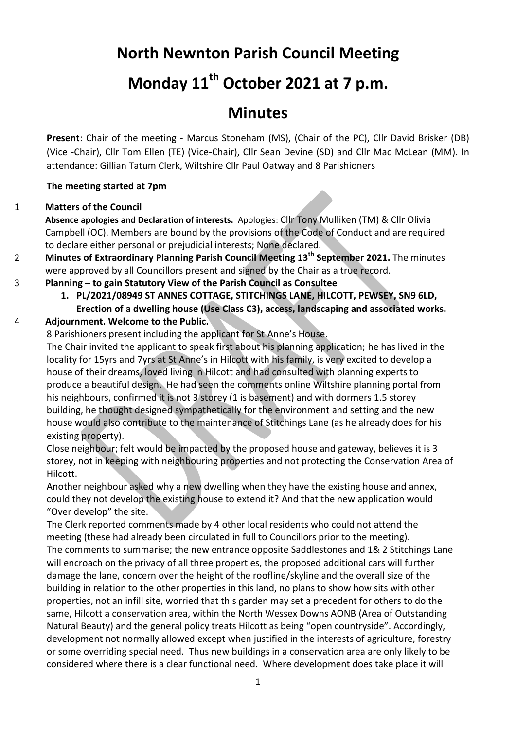## **North Newnton Parish Council Meeting**

# **Monday 11th October 2021 at 7 p.m.**

## **Minutes**

**Present**: Chair of the meeting - Marcus Stoneham (MS), (Chair of the PC), Cllr David Brisker (DB) (Vice -Chair), Cllr Tom Ellen (TE) (Vice-Chair), Cllr Sean Devine (SD) and Cllr Mac McLean (MM). In attendance: Gillian Tatum Clerk, Wiltshire Cllr Paul Oatway and 8 Parishioners

### **The meeting started at 7pm**

#### 1 **Matters of the Council**

**Absence apologies and Declaration of interests.** Apologies: Cllr Tony Mulliken (TM) & Cllr Olivia Campbell (OC). Members are bound by the provisions of the Code of Conduct and are required to declare either personal or prejudicial interests; None declared.

- 2 **Minutes of Extraordinary Planning Parish Council Meeting 13th September 2021.** The minutes were approved by all Councillors present and signed by the Chair as a true record.
- 3 **Planning – to gain Statutory View of the Parish Council as Consultee**
	- **1. PL/2021/08949 ST ANNES COTTAGE, STITCHINGS LANE, HILCOTT, PEWSEY, SN9 6LD, Erection of a dwelling house (Use Class C3), access, landscaping and associated works.**

### 4 **Adjournment. Welcome to the Public.**

8 Parishioners present including the applicant for St Anne's House.

The Chair invited the applicant to speak first about his planning application; he has lived in the locality for 15yrs and 7yrs at St Anne's in Hilcott with his family, is very excited to develop a house of their dreams, loved living in Hilcott and had consulted with planning experts to produce a beautiful design. He had seen the comments online Wiltshire planning portal from his neighbours, confirmed it is not 3 storey (1 is basement) and with dormers 1.5 storey building, he thought designed sympathetically for the environment and setting and the new house would also contribute to the maintenance of Stitchings Lane (as he already does for his existing property).

Close neighbour; felt would be impacted by the proposed house and gateway, believes it is 3 storey, not in keeping with neighbouring properties and not protecting the Conservation Area of Hilcott.

Another neighbour asked why a new dwelling when they have the existing house and annex, could they not develop the existing house to extend it? And that the new application would "Over develop" the site.

The Clerk reported comments made by 4 other local residents who could not attend the meeting (these had already been circulated in full to Councillors prior to the meeting). The comments to summarise; the new entrance opposite Saddlestones and 1& 2 Stitchings Lane will encroach on the privacy of all three properties, the proposed additional cars will further damage the lane, concern over the height of the roofline/skyline and the overall size of the building in relation to the other properties in this land, no plans to show how sits with other properties, not an infill site, worried that this garden may set a precedent for others to do the same, Hilcott a conservation area, within the North Wessex Downs AONB (Area of Outstanding Natural Beauty) and the general policy treats Hilcott as being "open countryside". Accordingly, development not normally allowed except when justified in the interests of agriculture, forestry or some overriding special need. Thus new buildings in a conservation area are only likely to be considered where there is a clear functional need. Where development does take place it will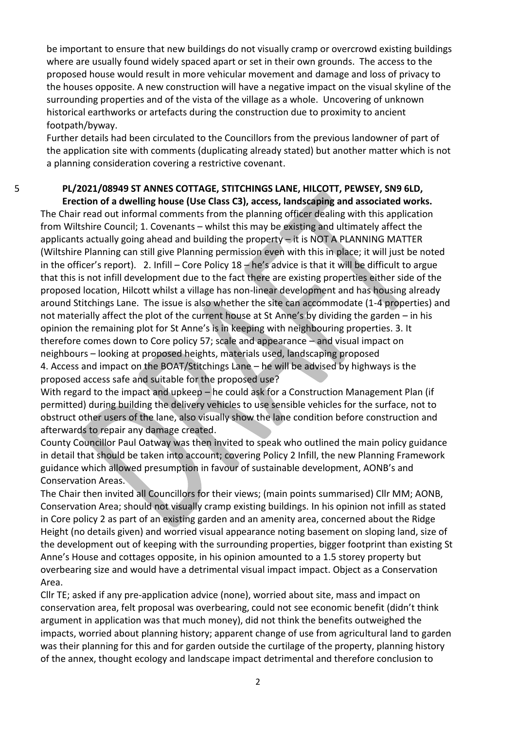be important to ensure that new buildings do not visually cramp or overcrowd existing buildings where are usually found widely spaced apart or set in their own grounds. The access to the proposed house would result in more vehicular movement and damage and loss of privacy to the houses opposite. A new construction will have a negative impact on the visual skyline of the surrounding properties and of the vista of the village as a whole. Uncovering of unknown historical earthworks or artefacts during the construction due to proximity to ancient footpath/byway.

Further details had been circulated to the Councillors from the previous landowner of part of the application site with comments (duplicating already stated) but another matter which is not a planning consideration covering a restrictive covenant.

#### 5 **PL/2021/08949 ST ANNES COTTAGE, STITCHINGS LANE, HILCOTT, PEWSEY, SN9 6LD, Erection of a dwelling house (Use Class C3), access, landscaping and associated works.**

The Chair read out informal comments from the planning officer dealing with this application from Wiltshire Council; 1. Covenants – whilst this may be existing and ultimately affect the applicants actually going ahead and building the property  $-$  it is NOT A PLANNING MATTER (Wiltshire Planning can still give Planning permission even with this in place; it will just be noted in the officer's report). 2. Infill – Core Policy 18 – he's advice is that it will be difficult to argue that this is not infill development due to the fact there are existing properties either side of the proposed location, Hilcott whilst a village has non-linear development and has housing already around Stitchings Lane. The issue is also whether the site can accommodate (1-4 properties) and not materially affect the plot of the current house at St Anne's by dividing the garden – in his opinion the remaining plot for St Anne's is in keeping with neighbouring properties. 3. It therefore comes down to Core policy 57; scale and appearance – and visual impact on neighbours – looking at proposed heights, materials used, landscaping proposed 4. Access and impact on the BOAT/Stitchings Lane – he will be advised by highways is the proposed access safe and suitable for the proposed use?

With regard to the impact and upkeep – he could ask for a Construction Management Plan (if permitted) during building the delivery vehicles to use sensible vehicles for the surface, not to obstruct other users of the lane, also visually show the lane condition before construction and afterwards to repair any damage created.

County Councillor Paul Oatway was then invited to speak who outlined the main policy guidance in detail that should be taken into account; covering Policy 2 Infill, the new Planning Framework guidance which allowed presumption in favour of sustainable development, AONB's and Conservation Areas.

The Chair then invited all Councillors for their views; (main points summarised) Cllr MM; AONB, Conservation Area; should not visually cramp existing buildings. In his opinion not infill as stated in Core policy 2 as part of an existing garden and an amenity area, concerned about the Ridge Height (no details given) and worried visual appearance noting basement on sloping land, size of the development out of keeping with the surrounding properties, bigger footprint than existing St Anne's House and cottages opposite, in his opinion amounted to a 1.5 storey property but overbearing size and would have a detrimental visual impact impact. Object as a Conservation Area.

Cllr TE; asked if any pre-application advice (none), worried about site, mass and impact on conservation area, felt proposal was overbearing, could not see economic benefit (didn't think argument in application was that much money), did not think the benefits outweighed the impacts, worried about planning history; apparent change of use from agricultural land to garden was their planning for this and for garden outside the curtilage of the property, planning history of the annex, thought ecology and landscape impact detrimental and therefore conclusion to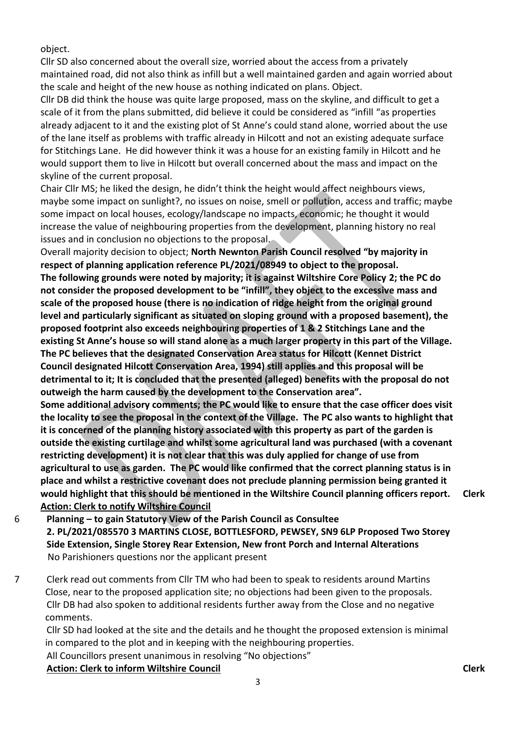object.

Cllr SD also concerned about the overall size, worried about the access from a privately maintained road, did not also think as infill but a well maintained garden and again worried about the scale and height of the new house as nothing indicated on plans. Object.

Cllr DB did think the house was quite large proposed, mass on the skyline, and difficult to get a scale of it from the plans submitted, did believe it could be considered as "infill "as properties already adjacent to it and the existing plot of St Anne's could stand alone, worried about the use of the lane itself as problems with traffic already in Hilcott and not an existing adequate surface for Stitchings Lane. He did however think it was a house for an existing family in Hilcott and he would support them to live in Hilcott but overall concerned about the mass and impact on the skyline of the current proposal.

Chair Cllr MS; he liked the design, he didn't think the height would affect neighbours views, maybe some impact on sunlight?, no issues on noise, smell or pollution, access and traffic; maybe some impact on local houses, ecology/landscape no impacts, economic; he thought it would increase the value of neighbouring properties from the development, planning history no real issues and in conclusion no objections to the proposal.

Overall majority decision to object; **North Newnton Parish Council resolved "by majority in respect of planning application reference PL/2021/08949 to object to the proposal. The following grounds were noted by majority; it is against Wiltshire Core Policy 2; the PC do not consider the proposed development to be "infill", they object to the excessive mass and scale of the proposed house (there is no indication of ridge height from the original ground level and particularly significant as situated on sloping ground with a proposed basement), the proposed footprint also exceeds neighbouring properties of 1 & 2 Stitchings Lane and the existing St Anne's house so will stand alone as a much larger property in this part of the Village. The PC believes that the designated Conservation Area status for Hilcott (Kennet District Council designated Hilcott Conservation Area, 1994) still applies and this proposal will be detrimental to it; It is concluded that the presented (alleged) benefits with the proposal do not outweigh the harm caused by the development to the Conservation area".** 

**Some additional advisory comments; the PC would like to ensure that the case officer does visit the locality to see the proposal in the context of the Village. The PC also wants to highlight that it is concerned of the planning history associated with this property as part of the garden is outside the existing curtilage and whilst some agricultural land was purchased (with a covenant restricting development) it is not clear that this was duly applied for change of use from agricultural to use as garden. The PC would like confirmed that the correct planning status is in place and whilst a restrictive covenant does not preclude planning permission being granted it would highlight that this should be mentioned in the Wiltshire Council planning officers report. Action: Clerk to notify Wiltshire Council** 

- 6 **Planning – to gain Statutory View of the Parish Council as Consultee 2. PL/2021/085570 3 MARTINS CLOSE, BOTTLESFORD, PEWSEY, SN9 6LP Proposed Two Storey Side Extension, Single Storey Rear Extension, New front Porch and Internal Alterations** No Parishioners questions nor the applicant present
- 7 Clerk read out comments from Cllr TM who had been to speak to residents around Martins Close, near to the proposed application site; no objections had been given to the proposals. Cllr DB had also spoken to additional residents further away from the Close and no negative comments.

Cllr SD had looked at the site and the details and he thought the proposed extension is minimal in compared to the plot and in keeping with the neighbouring properties.

All Councillors present unanimous in resolving "No objections" Action: Clerk to inform Wiltshire Council **Clerk Clerk** Clerk

**Clerk**